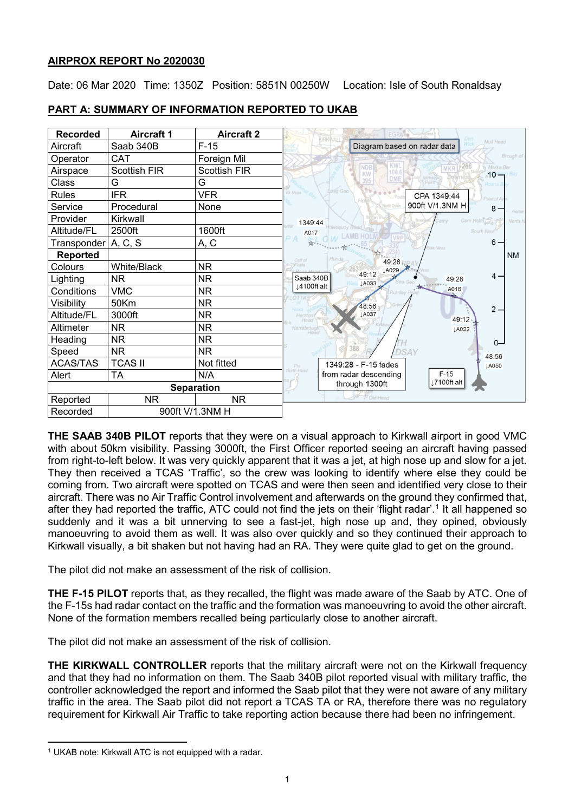## **AIRPROX REPORT No 2020030**

Date: 06 Mar 2020 Time: 1350Z Position: 5851N 00250W Location: Isle of South Ronaldsay

| <b>Recorded</b>   | <b>Aircraft 1</b>   | <b>Aircraft 2</b>   | EGPA <sup>2</sup><br>KIRKWALL                                                          |
|-------------------|---------------------|---------------------|----------------------------------------------------------------------------------------|
| Aircraft          | Saab 340B           | $F-15$              | Mull Head<br>Diagram based on radar data                                               |
| Operator          | CAT                 | Foreign Mil         | Brough of                                                                              |
| Airspace          | <b>Scottish FIR</b> | <b>Scottish FIR</b> | <b>KWL</b><br>$*286$<br><b>NDB</b><br>Marka Ber<br><b>MKR</b><br>108.6<br>KW<br>$10 -$ |
| Class             | G                   | G                   | bay Mirkady<br>DME<br>395                                                              |
| <b>Rules</b>      | <b>IFR</b>          | <b>VFR</b>          | ong Geo<br>o Ness<br>CPA 1349:44<br>$/$ Fout<br>oint of A                              |
| Service           | Procedural          | None                | 900ft V/1.3NM H<br>North Dawn<br>$8 -$                                                 |
| Provider          | Kirkwall            |                     | Corn Holm<br>North N<br>1349:44                                                        |
| Altitude/FL       | 2500ft              | 1600ft              | South Nevi<br>A017                                                                     |
| Transponder       | A, C, S             | A, C                | <b>VRP</b><br>A<br>$6 -$<br>se Ness                                                    |
| <b>Reported</b>   |                     |                     | <b>NM</b><br>Calf of                                                                   |
| Colours           | White/Black         | <b>NR</b>           | 49:28 RRA<br>Flotta<br>LA029                                                           |
| Lighting          | <b>NR</b>           | NR.                 | 49:12<br>$4 -$<br>Saab 340B<br>49:28<br><b>LA033</b>                                   |
| Conditions        | <b>VMC</b>          | <b>NR</b>           | 14100ft alt<br>A016<br>Rumley F                                                        |
| Visibility        | 50Km                | <b>NR</b>           | 48:56<br>Grim<br>$2 -$                                                                 |
| Altitude/FL       | 3000ft              | <b>NR</b>           | <b>JA037</b><br>Herstont<br>49:12                                                      |
| Altimeter         | <b>NR</b>           | <b>NR</b>           | Harrabrough<br>LA022                                                                   |
| Heading           | <b>NR</b>           | <b>NR</b>           | 0-                                                                                     |
| Speed             | <b>NR</b>           | NR.                 | DSAY<br>48:56                                                                          |
| <b>ACAS/TAS</b>   | <b>TCAS II</b>      | Not fitted          | 1349:28 - F-15 fades<br>LA050<br>The                                                   |
| Alert             | <b>TA</b>           | N/A                 | <b>North Head</b><br>from radar descending<br>$F-15$                                   |
| <b>Separation</b> |                     |                     | 17100ft alt<br>through 1300ft                                                          |
| Reported          | NR.                 | <b>NR</b>           | P Old Head                                                                             |
| Recorded          | 900ft V/1.3NM H     |                     |                                                                                        |

# **PART A: SUMMARY OF INFORMATION REPORTED TO UKAB**

**THE SAAB 340B PILOT** reports that they were on a visual approach to Kirkwall airport in good VMC with about 50km visibility. Passing 3000ft, the First Officer reported seeing an aircraft having passed from right-to-left below. It was very quickly apparent that it was a jet, at high nose up and slow for a jet. They then received a TCAS 'Traffic', so the crew was looking to identify where else they could be coming from. Two aircraft were spotted on TCAS and were then seen and identified very close to their aircraft. There was no Air Traffic Control involvement and afterwards on the ground they confirmed that, after they had reported the traffic, ATC could not find the jets on their 'flight radar'.<sup>[1](#page-0-0)</sup> It all happened so suddenly and it was a bit unnerving to see a fast-jet, high nose up and, they opined, obviously manoeuvring to avoid them as well. It was also over quickly and so they continued their approach to Kirkwall visually, a bit shaken but not having had an RA. They were quite glad to get on the ground.

The pilot did not make an assessment of the risk of collision.

**THE F-15 PILOT** reports that, as they recalled, the flight was made aware of the Saab by ATC. One of the F-15s had radar contact on the traffic and the formation was manoeuvring to avoid the other aircraft. None of the formation members recalled being particularly close to another aircraft.

The pilot did not make an assessment of the risk of collision.

**THE KIRKWALL CONTROLLER** reports that the military aircraft were not on the Kirkwall frequency and that they had no information on them. The Saab 340B pilot reported visual with military traffic, the controller acknowledged the report and informed the Saab pilot that they were not aware of any military traffic in the area. The Saab pilot did not report a TCAS TA or RA, therefore there was no regulatory requirement for Kirkwall Air Traffic to take reporting action because there had been no infringement.

<span id="page-0-0"></span>l <sup>1</sup> UKAB note: Kirkwall ATC is not equipped with a radar.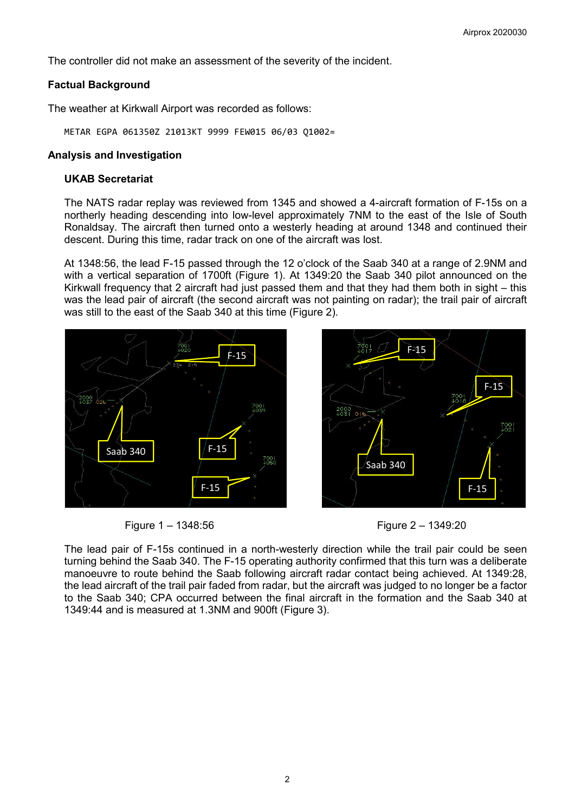F-15

F-15

The controller did not make an assessment of the severity of the incident.

## **Factual Background**

The weather at Kirkwall Airport was recorded as follows:

METAR EGPA 061350Z 21013KT 9999 FEW015 06/03 Q1002=

#### **Analysis and Investigation**

#### **UKAB Secretariat**

The NATS radar replay was reviewed from 1345 and showed a 4-aircraft formation of F-15s on a northerly heading descending into low-level approximately 7NM to the east of the Isle of South Ronaldsay. The aircraft then turned onto a westerly heading at around 1348 and continued their descent. During this time, radar track on one of the aircraft was lost.

At 1348:56, the lead F-15 passed through the 12 o'clock of the Saab 340 at a range of 2.9NM and with a vertical separation of 1700ft (Figure 1). At 1349:20 the Saab 340 pilot announced on the Kirkwall frequency that 2 aircraft had just passed them and that they had them both in sight – this was the lead pair of aircraft (the second aircraft was not painting on radar); the trail pair of aircraft was still to the east of the Saab 340 at this time (Figure 2).



Figure 1 – 1348:56 Figure 2 – 1349:20

The lead pair of F-15s continued in a north-westerly direction while the trail pair could be seen turning behind the Saab 340. The F-15 operating authority confirmed that this turn was a deliberate manoeuvre to route behind the Saab following aircraft radar contact being achieved. At 1349:28, the lead aircraft of the trail pair faded from radar, but the aircraft was judged to no longer be a factor to the Saab 340; CPA occurred between the final aircraft in the formation and the Saab 340 at 1349:44 and is measured at 1.3NM and 900ft (Figure 3).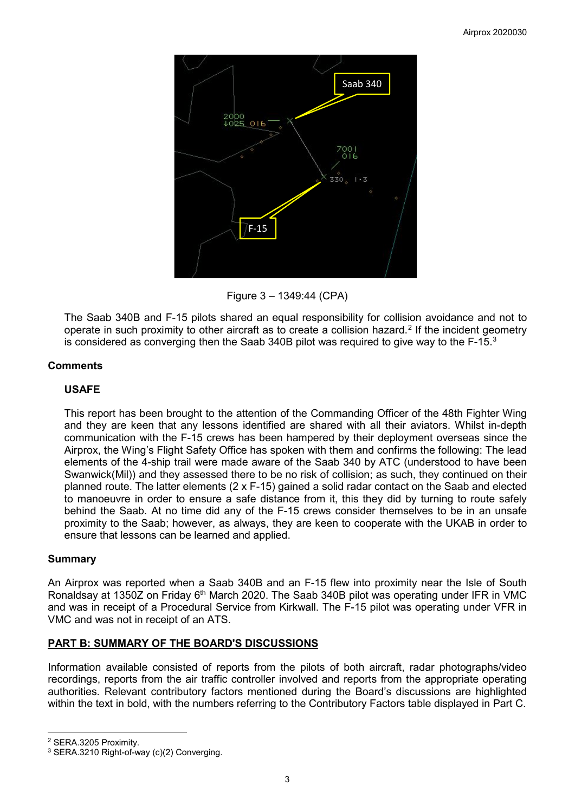

Figure 3 – 1349:44 (CPA)

The Saab 340B and F-15 pilots shared an equal responsibility for collision avoidance and not to operate in such proximity to other aircraft as to create a collision hazard.<sup>[2](#page-2-0)</sup> If the incident geometry is considered as converging then the Saab [3](#page-2-1)40B pilot was required to give way to the F-15. $^3$ 

# **Comments**

# **USAFE**

This report has been brought to the attention of the Commanding Officer of the 48th Fighter Wing and they are keen that any lessons identified are shared with all their aviators. Whilst in-depth communication with the F-15 crews has been hampered by their deployment overseas since the Airprox, the Wing's Flight Safety Office has spoken with them and confirms the following: The lead elements of the 4-ship trail were made aware of the Saab 340 by ATC (understood to have been Swanwick(Mil)) and they assessed there to be no risk of collision; as such, they continued on their planned route. The latter elements (2 x F-15) gained a solid radar contact on the Saab and elected to manoeuvre in order to ensure a safe distance from it, this they did by turning to route safely behind the Saab. At no time did any of the F-15 crews consider themselves to be in an unsafe proximity to the Saab; however, as always, they are keen to cooperate with the UKAB in order to ensure that lessons can be learned and applied.

## **Summary**

An Airprox was reported when a Saab 340B and an F-15 flew into proximity near the Isle of South Ronaldsay at 1350Z on Friday 6<sup>th</sup> March 2020. The Saab 340B pilot was operating under IFR in VMC and was in receipt of a Procedural Service from Kirkwall. The F-15 pilot was operating under VFR in VMC and was not in receipt of an ATS.

# **PART B: SUMMARY OF THE BOARD'S DISCUSSIONS**

Information available consisted of reports from the pilots of both aircraft, radar photographs/video recordings, reports from the air traffic controller involved and reports from the appropriate operating authorities. Relevant contributory factors mentioned during the Board's discussions are highlighted within the text in bold, with the numbers referring to the Contributory Factors table displayed in Part C.

<span id="page-2-0"></span><sup>2</sup> SERA.3205 Proximity.

 $\overline{\phantom{a}}$ 

<span id="page-2-1"></span><sup>&</sup>lt;sup>3</sup> SERA.3210 Right-of-way (c)(2) Converging.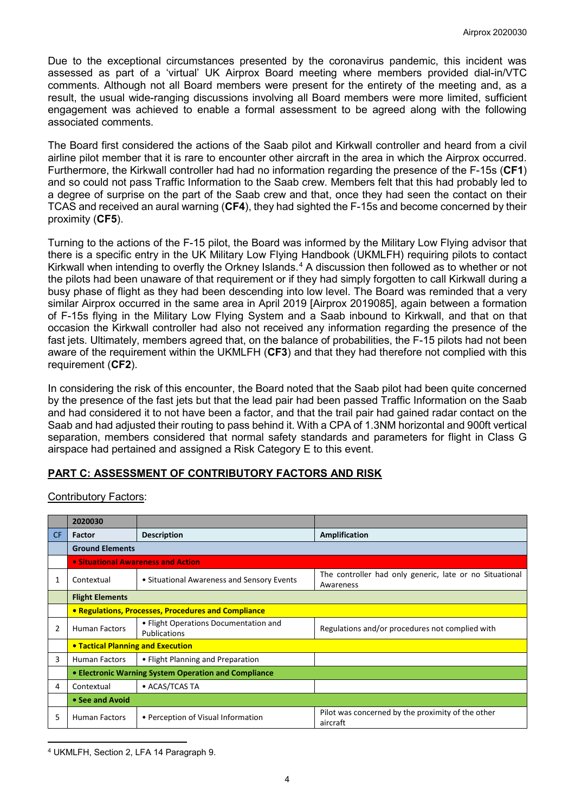Due to the exceptional circumstances presented by the coronavirus pandemic, this incident was assessed as part of a 'virtual' UK Airprox Board meeting where members provided dial-in/VTC comments. Although not all Board members were present for the entirety of the meeting and, as a result, the usual wide-ranging discussions involving all Board members were more limited, sufficient engagement was achieved to enable a formal assessment to be agreed along with the following associated comments.

The Board first considered the actions of the Saab pilot and Kirkwall controller and heard from a civil airline pilot member that it is rare to encounter other aircraft in the area in which the Airprox occurred. Furthermore, the Kirkwall controller had had no information regarding the presence of the F-15s (**CF1**) and so could not pass Traffic Information to the Saab crew. Members felt that this had probably led to a degree of surprise on the part of the Saab crew and that, once they had seen the contact on their TCAS and received an aural warning (**CF4**), they had sighted the F-15s and become concerned by their proximity (**CF5**).

Turning to the actions of the F-15 pilot, the Board was informed by the Military Low Flying advisor that there is a specific entry in the UK Military Low Flying Handbook (UKMLFH) requiring pilots to contact Kirkwall when intending to overfly the Orkney Islands.<sup>[4](#page-3-0)</sup> A discussion then followed as to whether or not the pilots had been unaware of that requirement or if they had simply forgotten to call Kirkwall during a busy phase of flight as they had been descending into low level. The Board was reminded that a very similar Airprox occurred in the same area in April 2019 [Airprox 2019085], again between a formation of F-15s flying in the Military Low Flying System and a Saab inbound to Kirkwall, and that on that occasion the Kirkwall controller had also not received any information regarding the presence of the fast jets. Ultimately, members agreed that, on the balance of probabilities, the F-15 pilots had not been aware of the requirement within the UKMLFH (**CF3**) and that they had therefore not complied with this requirement (**CF2**).

In considering the risk of this encounter, the Board noted that the Saab pilot had been quite concerned by the presence of the fast jets but that the lead pair had been passed Traffic Information on the Saab and had considered it to not have been a factor, and that the trail pair had gained radar contact on the Saab and had adjusted their routing to pass behind it. With a CPA of 1.3NM horizontal and 900ft vertical separation, members considered that normal safety standards and parameters for flight in Class G airspace had pertained and assigned a Risk Category E to this event.

## **PART C: ASSESSMENT OF CONTRIBUTORY FACTORS AND RISK**

Contributory Factors:

|     | 2020030                                              |                                                              |                                                                      |  |  |
|-----|------------------------------------------------------|--------------------------------------------------------------|----------------------------------------------------------------------|--|--|
| CF. | <b>Factor</b>                                        | <b>Description</b>                                           | Amplification                                                        |  |  |
|     | <b>Ground Elements</b>                               |                                                              |                                                                      |  |  |
|     | • Situational Awareness and Action                   |                                                              |                                                                      |  |  |
|     | Contextual                                           | • Situational Awareness and Sensory Events                   | The controller had only generic, late or no Situational<br>Awareness |  |  |
|     | <b>Flight Elements</b>                               |                                                              |                                                                      |  |  |
|     | • Regulations, Processes, Procedures and Compliance  |                                                              |                                                                      |  |  |
| 2   | <b>Human Factors</b>                                 | • Flight Operations Documentation and<br><b>Publications</b> | Regulations and/or procedures not complied with                      |  |  |
|     | <b>• Tactical Planning and Execution</b>             |                                                              |                                                                      |  |  |
| 3   | <b>Human Factors</b>                                 | • Flight Planning and Preparation                            |                                                                      |  |  |
|     | • Electronic Warning System Operation and Compliance |                                                              |                                                                      |  |  |
| 4   | Contextual                                           | • ACAS/TCAS TA                                               |                                                                      |  |  |
|     | • See and Avoid                                      |                                                              |                                                                      |  |  |
| 5   | <b>Human Factors</b>                                 | • Perception of Visual Information                           | Pilot was concerned by the proximity of the other<br>aircraft        |  |  |

<span id="page-3-0"></span>l <sup>4</sup> UKMLFH, Section 2, LFA 14 Paragraph 9.